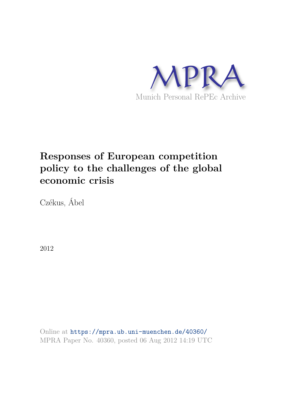

# **Responses of European competition policy to the challenges of the global economic crisis**

Czékus, Ábel

2012

Online at https://mpra.ub.uni-muenchen.de/40360/ MPRA Paper No. 40360, posted 06 Aug 2012 14:19 UTC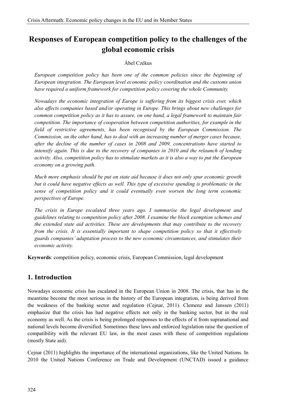## **Responses of European competition policy to the challenges of the global economic crisis**

#### Ábel Czékus

*European competition policy has been one of the common policies since the beginning of European integration. The European level economic policy coordination and the customs union have required a uniform framework for competition policy covering the whole Community.*

*Nowadays the economic integration of Europe is suffering from its biggest crisis ever, which also affects companies based and/or operating in Europe. This brings about new challenges for common competition policy as it has to assure, on one hand, a legal framework to maintain fair competition. The importance of cooperation between competition authorities, for example in the field of restrictive agreements, has been recognised by the European Commission. The Commission, on the other hand, has to deal with an increasing number of merger cases because, after the decline of the number of cases in 2008 and 2009, concentrations have started to intensify again. This is due to the recovery of companies in 2010 and the relaunch of lending activity. Also, competition policy has to stimulate markets as it is also a way to put the European economy on a growing path.*

*Much more emphasis should be put on state aid because it does not only spur economic growth but it could have negative effects as well. This type of excessive spending is problematic in the sense of competition policy and it could eventually even worsen the long term economic perspectives of Europe.*

*The crisis in Europe escalated three years ago. I summarise the legal development and guidelines relating to competition policy after 2008. I examine the block exemption schemes and the extended state aid activities. These are developments that may contribute to the recovery from the crisis. It is essentially important to shape competition policy so that it effectively guards companies' adaptation process to the new economic circumstances, and stimulates their economic activity.*

**Keywords**: competition policy, economic crisis, European Commission, legal development

## **1. Introduction**

Nowadays economic crisis has escalated in the European Union in 2008. The crisis, that has in the meantime become the most serious in the history of the European integration, is being derived from the weakness of the banking sector and regulation (Cejnar, 2011). Clemenz and Janssen (2011) emphasize that the crisis has had negative effects not only in the banking sector, but in the real economy as well. As the crisis is being prolonged responses to the effects of it from supranational and national levels become diversified. Sometimes these laws and enforced legislation raise the question of compatibility with the relevant EU law, in the most cases with these of competition regulations (mostly State aid).

Cejnar (2011) highlights the importance of the international organizations, like the United Nations. In 2010 the United Nations Conference on Trade and Development (UNCTAD) issued a guidance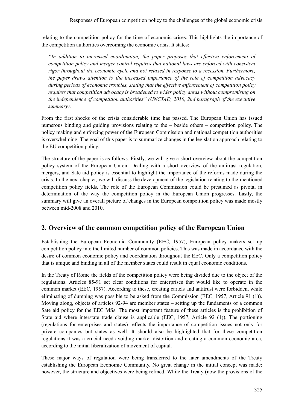relating to the competition policy for the time of economic crises. This highlights the importance of the competition authorities overcoming the economic crisis. It states:

*"In addition to increased coordination, the paper proposes that effective enforcement of competition policy and merger control requires that national laws are enforced with consistent rigor throughout the economic cycle and not relaxed in response to a recession. Furthermore, the paper draws attention to the increased importance of the role of competition advocacy during periods of economic troubles, stating that the effective enforcement of competition policy requires that competition advocacy is broadened to wider policy areas without compromising on the independence of competition authorities" (UNCTAD, 2010, 2nd paragraph of the executive summary).*

From the first shocks of the crisis considerable time has passed. The European Union has issued numerous binding and guiding provisions relating to the – beside others – competition policy. The policy making and enforcing power of the European Commission and national competition authorities is overwhelming. The goal of this paper is to summarize changes in the legislation approach relating to the EU competition policy.

The structure of the paper is as follows. Firstly, we will give a short overview about the competition policy system of the European Union. Dealing with a short overview of the antitrust regulation, mergers, and Sate aid policy is essential to highlight the importance of the reforms made during the crisis. In the next chapter, we will discuss the development of the legislation relating to the mentioned competition policy fields. The role of the European Commission could be presumed as pivotal in determination of the way the competition policy in the European Union progresses. Lastly, the summary will give an overall picture of changes in the European competition policy was made mostly between mid-2008 and 2010.

## **2. Overview of the common competition policy of the European Union**

Establishing the European Economic Community (EEC, 1957), European policy makers set up competition policy into the limited number of common policies. This was made in accordance with the desire of common economic policy and coordination throughout the EEC. Only a competition policy that is unique and binding in all of the member states could result in equal economic conditions.

In the Treaty of Rome the fields of the competition policy were being divided due to the object of the regulations. Articles 85-91 set clear conditions for enterprises that would like to operate in the common market (EEC, 1957). According to these, creating cartels and antitrust were forbidden, while eliminating of dumping was possible to be asked from the Commission (EEC, 1957, Article 91 (1)). Moving along, objects of articles 92-94 are member states – setting up the fundaments of a common Sate aid policy for the EEC MSs. The most important feature of these articles is the prohibition of State aid where interstate trade clause is applicable (EEC, 1957, Article 92 (1)). The portioning (regulations for enterprises and states) reflects the importance of competition issues not only for private companies but states as well. It should also be highlighted that for these competition regulations it was a crucial need avoiding market distortion and creating a common economic area, according to the initial liberalization of movement of capital.

These major ways of regulation were being transferred to the later amendments of the Treaty establishing the European Economic Community. No great change in the initial concept was made; however, the structure and objectives were being refined. While the Treaty (now the provisions of the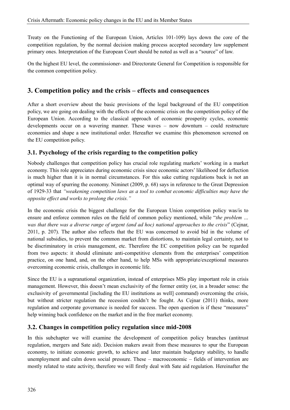Treaty on the Functioning of the European Union, Articles 101-109) lays down the core of the competition regulation, by the normal decision making process accepted secondary law supplement primary ones. Interpretation of the European Court should be noted as well as a "source" of law.

On the highest EU level, the commissioner- and Directorate General for Competition is responsible for the common competition policy.

## **3. Competition policy and the crisis – effects and consequences**

After a short overview about the basic provisions of the legal background of the EU competition policy, we are going on dealing with the effects of the economic crisis on the competition policy of the European Union. According to the classical approach of economic prosperity cycles, economic developments occur on a wavering manner. These waves – now downturn – could restructure economies and shape a new institutional order. Hereafter we examine this phenomenon screened on the EU competition policy.

### **3.1. Psychology of the crisis regarding to the competition policy**

Nobody challenges that competition policy has crucial role regulating markets' working in a market economy. This role appreciates during economic crisis since economic actors' likelihood for deflection is much higher than it is in normal circumstances. For this sake cutting regulations back is not an optimal way of spurring the economy. Niminet (2009, p. 68) says in reference to the Great Depression of 1929-33 that *"weakening competition laws as a tool to combat economic difficulties may have the opposite effect and works to prolong the crisis."*

In the economic crisis the biggest challenge for the European Union competition policy was/is to ensure and enforce common rules on the field of common policy mentioned, while "*the problem … was that there was a diverse range of urgent (and ad hoc) national approaches to the crisis*" (Cejnar, 2011, p. 207). The author also reflects that the EU was concerned to avoid bid in the volume of national subsidies, to prevent the common market from distortions, to maintain legal certainty, not to be discriminatory in crisis management, etc. Therefore the EC competition policy can be regarded from two aspects: it should eliminate anti-competitive elements from the enterprises' competition practice, on one hand, and, on the other hand, to help MSs with appropriate/exceptional measures overcoming economic crisis, challenges in economic life.

Since the EU is a supranational organization, instead of enterprises MSs play important role in crisis management. However, this doesn't mean exclusivity of the former entity (or, in a broader sense: the exclusivity of governmental [including the EU institutions as well] command) overcoming the crisis, but without stricter regulation the recession couldn't be fought. As Cejnar (2011) thinks, more regulation and corporate governance is needed for success. The open question is if these "measures" help winning back confidence on the market and in the free market economy.

#### **3.2. Changes in competition policy regulation since mid-2008**

In this subchapter we will examine the development of competition policy branches (antitrust regulation, mergers and Sate aid). Decision makers await from these measures to spur the European economy, to initiate economic growth, to achieve and later maintain budgetary stability, to handle unemployment and calm down social pressure. These – macroeconomic – fields of intervention are mostly related to state activity, therefore we will firstly deal with Sate aid regulation. Hereinafter the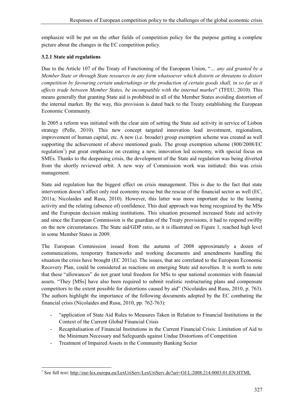emphasize will be put on the other fields of competition policy for the purpose getting a complete picture about the changes in the EC competition policy.

#### **3.2.1 State aid regulations**

Due to the Article 107 of the Treaty of Functioning of the European Union, "*… any aid granted by a Member State or through State resources in any form whatsoever which distorts or threatens to distort competition by favouring certain undertakings or the production of certain goods shall, in so far as it affects trade between Member States, be incompatible with the internal market*" (TFEU, 2010). This means generally that granting State aid is prohibited in all of the Member States avoiding distortion of the internal market. By the way, this provision is dated back to the Treaty establishing the European Economic Community.

In 2005 a reform was initiated with the clear aim of setting the State aid activity in service of Lisbon strategy (Pelle, 2010). This new concept targeted innovation lead investment, regionalism, improvement of human capital, etc. A new (i.e. broader) group exemption scheme was created as well supporting the achievement of above mentioned goals. The group exemption scheme (800/2008/EC regulation<sup>1</sup>) put great emphasize on creating a new, innovation led economy, with special focus on SMEs. Thanks to the deepening crisis, the development of the State aid regulation was being diverted from the shortly reviewed orbit. A new way of Commission work was initiated: this was crisis management.

State aid regulation has the biggest effect on crisis management. This is due to the fact that state intervention doesn't affect only real economy rescue but the rescue of the financial sector as well (EC, 2011a; Nicolaides and Rusu, 2010). However, this latter was more important due to the loaning activity and the relating (absence of) confidence. This dual approach was being recognized by the MSs and the European decision making institutions. This situation presumed increased State aid activity and since the European Commission is the guardian of the Treaty provisions, it had to respond swiftly on the new circumstances. The State aid/GDP ratio, as it is illustrated on Figure 1, reached high level in some Member States in 2009.

The European Commission issued from the autumn of 2008 approximately a dozen of communications, temporary frameworks and working documents and amendments handling the situation the crisis have brought (EC 2011a). The issues, that are correlated to the European Economic Recovery Plan, could be considered as reactions on emerging State aid novelties. It is worth to note that these "allowances" do not grant total freedom for MSs to spur national economies with financial assets. "They [MSs] have also been required to submit realistic restructuring plans and compensate competitors to the extent possible for distortions caused by aid" (Nicolaides and Rusu, 2010, p. 763). The authors highlight the importance of the following documents adopted by the EC combating the financial crisis (Nicolaides and Rusu, 2010, pp. 762-763):

- "application of State Aid Rules to Measures Taken in Relation to Financial Institutions in the Context of the Current Global Financial Crisis
- Recapitalisation of Financial Institutions in the Current Financial Crisis: Limitation of Aid to the Minimum Necessary and Safeguards against Undue Distortions of Competition
- Treatment of Impaired Assets in the Community Banking Sector

<sup>1&</sup>lt;br>
<sup>1</sup> See full text: http://eur-lex.europa.eu/LexUriServ/LexUriServ.do?uri=OJ:L:2008:214:0003:01:EN:HTML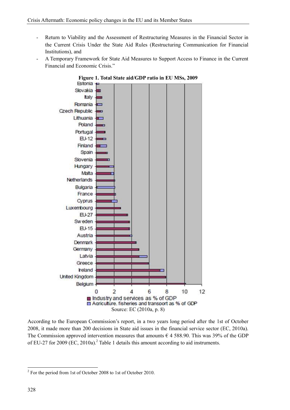- Return to Viability and the Assessment of Restructuring Measures in the Financial Sector in the Current Crisis Under the State Aid Rules (Restructuring Communication for Financial Institutions), and
- A Temporary Framework for State Aid Measures to Support Access to Finance in the Current Financial and Economic Crisis."



**Figure 1. Total State aid/GDP ratio in EU MSs, 2009**<br>**Estonia**  $\leftrightarrow$ 

According to the European Commission's report, in a two years long period after the 1st of October 2008, it made more than 200 decisions in State aid issues in the financial service sector (EC, 2010a). The Commission approved intervention measures that amounts  $\epsilon$  4 588.90. This was 39% of the GDP of EU-27 for 2009 (EC, 2010a).<sup>2</sup> Table 1 details this amount according to aid instruments.

<sup>&</sup>lt;sup>2</sup> For the period from 1st of October 2008 to 1st of October 2010.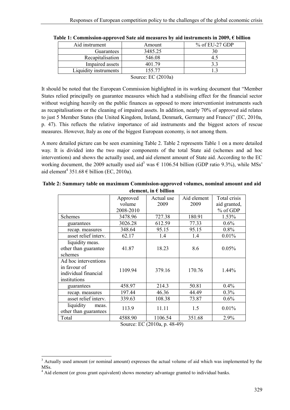| Aid instrument        | Amount  | $%$ of EU-27 GDP |  |  |
|-----------------------|---------|------------------|--|--|
| <b>Guarantees</b>     | 3485.25 | 30               |  |  |
| Recapitalisation      | 546.08  | 45               |  |  |
| Impaired assets       | 401.79  | 3.3              |  |  |
| Liquidity instruments | 155.77  |                  |  |  |
| Source: EC $(2010a)$  |         |                  |  |  |

| Table 1: Commission-approved Sate aid measures by aid instruments in 2009, $\epsilon$ billion |  |  |
|-----------------------------------------------------------------------------------------------|--|--|
|                                                                                               |  |  |

It should be noted that the European Commission highlighted in its working document that "Member States relied principally on guarantee measures which had a stabilising effect for the financial sector without weighing heavily on the public finances as opposed to more interventionist instruments such as recapitalisations or the cleaning of impaired assets. In addition, nearly 70% of approved aid relates to just 5 Member States (the United Kingdom, Ireland, Denmark, Germany and France)" (EC, 2010a, p. 47). This reflects the relative importance of aid instruments and the biggest actors of rescue measures. However, Italy as one of the biggest European economy, is not among them.

A more detailed picture can be seen examining Table 2. Table 2 represents Table 1 on a more detailed way. It is divided into the two major components of the total State aid (schemes and ad hoc interventions) and shows the actually used, and aid element amount of State aid. According to the EC working document, the 2009 actually used aid<sup>3</sup> was  $\epsilon$  1106.54 billion (GDP ratio 9.3%), while MSs<sup>2</sup> aid element<sup>4</sup> 351.68  $\epsilon$  billion (EC, 2010a).

| Approved  | Actual use      | Aid element | Total crisis |  |
|-----------|-----------------|-------------|--------------|--|
| volume    | 2009            | 2009        | aid granted, |  |
| 2008-2010 |                 |             | % of GDP     |  |
| 3478.96   | 727.38          | 180.91      | 1.53%        |  |
| 3026.28   | 612.59<br>77.33 |             | $0.6\%$      |  |
| 348.64    | 95.15           | 95.15       | $0.8\%$      |  |
| 62.17     | 1.4             | 1.4         | 0.01%        |  |
|           |                 |             |              |  |
| 41.87     | 18.23           | 8.6         | 0.05%        |  |
|           |                 |             |              |  |
|           |                 |             |              |  |
| 1109.94   | 379.16          | 170.76      | 1.44%        |  |
|           |                 |             |              |  |
| 458.97    | 214.3           | 50.81       | 0.4%         |  |
| 197.44    | 46.36           | 44.49       | 0.3%         |  |
| 339.63    | 108.38          | 73.87       | 0.6%         |  |
|           |                 |             | 0.01%        |  |
|           |                 |             |              |  |
| 4588.90   | 1106.54         | 351.68      | 2.9%         |  |
|           | 113.9           | 11.11       | 1.5          |  |

**Table 2: Summary table on maximum Commission-approved volumes, nominal amount and aid element, in € billion**

Source: EC (2010a, p. 48-49)

<sup>&</sup>lt;sup>3</sup> Actually used amount (or nominal amount) expresses the actual volume of aid which was implemented by the MSs.

<sup>&</sup>lt;sup>4</sup> Aid element (or gross grant equivalent) shows monetary advantage granted to individual banks.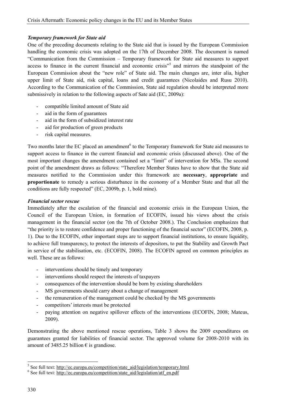#### *Temporary framework for State aid*

One of the preceding documents relating to the State aid that is issued by the European Commission handling the economic crisis was adopted on the 17th of December 2008. The document is named "Communication from the Commission – Temporary framework for State aid measures to support access to finance in the current financial and economic crisis"<sup>5</sup> and mirrors the standpoint of the European Commission about the "new role" of State aid. The main changes are, inter alia, higher upper limit of State aid, risk capital, loans and credit guarantees (Nicolaides and Rusu 2010). According to the Communication of the Commission, State aid regulation should be interpreted more submissively in relation to the following aspects of Sate aid (EC, 2009a):

- compatible limited amount of State aid
- aid in the form of guarantees
- aid in the form of subsidized interest rate
- aid for production of green products
- risk capital measures.

Two months later the EC placed an amendment<sup>6</sup> to the Temporary framework for State aid measures to support access to finance in the current financial and economic crisis (discussed above). One of the most important changes the amendment contained set a "limit" of intervention for MSs. The second point of the amendment draws as follows: "Therefore Member States have to show that the State aid measures notified to the Commission under this framework are **necessary**, **appropriate** and **proportionate** to remedy a serious disturbance in the economy of a Member State and that all the conditions are fully respected" (EC, 2009b, p. 1, bold mine).

#### *Financial sector rescue*

Immediately after the escalation of the financial and economic crisis in the European Union, the Council of the European Union, in formation of ECOFIN, issued his views about the crisis management in the financial sector (on the 7th of October 2008.). The Conclusion emphasizes that "the priority is to restore confidence and proper functioning of the financial sector" (ECOFIN, 2008, p. 1). Due to the ECOFIN, other important steps are to support financial institutions, to ensure liquidity, to achieve full transparency, to protect the interests of depositors, to put the Stability and Growth Pact in service of the stabilisation, etc. (ECOFIN, 2008). The ECOFIN agreed on common principles as well. These are as follows:

- interventions should be timely and temporary
- interventions should respect the interests of taxpayers
- consequences of the intervention should be born by existing shareholders
- MS governments should carry about a change of management
- the remuneration of the management could be checked by the MS governments
- competitors' interests must be protected
- paying attention on negative spillover effects of the interventions (ECOFIN, 2008; Mateus, 2009).

Demonstrating the above mentioned rescue operations, Table 3 shows the 2009 expenditures on guarantees granted for liabilities of financial sector. The approved volume for 2008-2010 with its amount of 3485.25 billion  $\epsilon$  is grandiose.

<sup>&</sup>lt;u>.</u> <sup>5</sup> See full text: http://ec.europa.eu/competition/state\_aid/legislation/temporary.html

<sup>&</sup>lt;sup>6</sup> See full text: http://ec.europa.eu/competition/state\_aid/legislation/atf\_en.pdf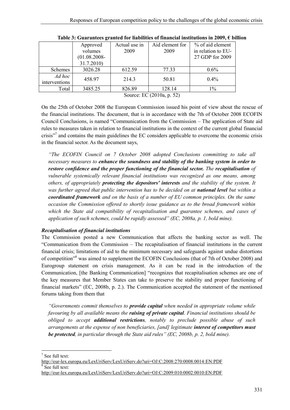|                           | Approved        | Actual use in | Aid element for | % of aid element   |
|---------------------------|-----------------|---------------|-----------------|--------------------|
|                           | volumes         | 2009          | 2009            | in relation to EU- |
|                           | $(01.08.2008 -$ |               |                 | 27 GDP for 2009    |
|                           | 31.7.2010)      |               |                 |                    |
| <b>Schemes</b>            | 3026.28         | 612.59        | 77.33           | $0.6\%$            |
| Ad hoc<br>interventions   | 458.97          | 214.3         | 50.81           | $0.4\%$            |
| Total                     | 3485.25         | 826.89        | 128.14          | $1\%$              |
| Source: EC (2010a, p. 52) |                 |               |                 |                    |

**Table 3: Guarantees granted for liabilities of financial institutions in 2009, € billion**

On the 25th of October 2008 the European Commission issued his point of view about the rescue of the financial institutions. The document, that is in accordance with the 7th of October 2008 ECOFIN Council Conclusions, is named "Communication from the Commission – The application of State aid rules to measures taken in relation to financial institutions in the context of the current global financial crisis"<sup>7</sup> and contains the main guidelines the EC considers applicable to overcome the economic crisis in the financial sector. As the document says,

*"The ECOFIN Council on 7 October 2008 adopted Conclusions committing to take all necessary measures to enhance the soundness and stability of the banking system in order to restore confidence and the proper functioning of the financial sector. The recapitalisation of vulnerable systemically relevant financial institutions was recognized as one means, among others, of appropriately protecting the depositors' interests and the stability of the system. It was further agreed that public intervention has to be decided on at national level but within a coordinated framework and on the basis of a number of EU common principles. On the same occasion the Commission offered to shortly issue guidance as to the broad framework within which the State aid compatibility of recapitalisation and guarantee schemes, and cases of application of such schemes, could be rapidly assessed" (EC, 2008a, p. 1, bold mine).*

#### *Recapitalisation of financial institutions*

The Commission posted a new Communication that affects the banking sector as well. The "Communication from the Commission – The recapitalisation of financial institutions in the current financial crisis; limitations of aid to the minimum necessary and safeguards against undue distortions of competition<sup>38</sup> was aimed to supplement the ECOFIN Conclusions (that of 7th of October 2008) and Eurogroup statement on crisis management. As it can be read in the introduction of the Communication, [the Banking Communication] "recognizes that recapitalisation schemes are one of the key measures that Member States can take to preserve the stability and proper functioning of financial markets" (EC, 2008b, p. 2.). The Communication accepted the statement of the mentioned forums taking from them that

*"Governments commit themselves to provide capital when needed in appropriate volume while favouring by all available means the raising of private capital. Financial institutions should be obliged to accept additional restrictions, notably to preclude possible abuse of such arrangements at the expense of non beneficiaries, [and] legitimate interest of competitors must be protected, in particular through the State aid rules" (EC, 2008b, p. 2, bold mine).*

 $\frac{1}{\sqrt{7}}$  See full text:

<http://eur-lex.europa.eu/LexUriServ/LexUriServ.do?uri=OJ:C:2008:270:0008:0014:EN:PDF> 8 See full text:

<http://eur-lex.europa.eu/LexUriServ/LexUriServ.do?uri=OJ:C:2009:010:0002:0010:EN:PDF>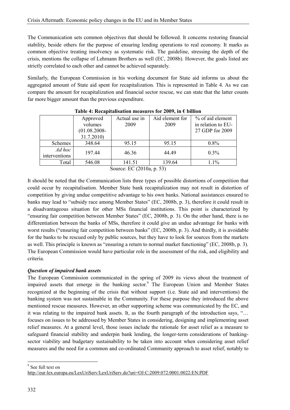The Communication sets common objectives that should be followed. It concerns restoring financial stability, beside others for the purpose of ensuring lending operations to real economy. It marks as common objective treating insolvency as systematic risk. The guideline, stressing the depth of the crisis, mentions the collapse of Lehmann Brothers as well (EC, 2008b). However, the goals listed are strictly correlated to each other and cannot be achieved separately.

Similarly, the European Commission in his working document for State aid informs us about the aggregated amount of State aid spent for recapitalization. This is represented in Table 4. As we can compare the amount for recapitalization and financial sector rescue, we can state that the latter counts far more bigger amount than the previous expenditure.

|                         | Approved        | Actual use in | Aid element for | % of aid element   |
|-------------------------|-----------------|---------------|-----------------|--------------------|
|                         | volumes         | 2009          | 2009            | in relation to EU- |
|                         | $(01.08.2008 -$ |               |                 | 27 GDP for 2009    |
|                         | 31.7.2010)      |               |                 |                    |
| Schemes                 | 348.64          | 95.15         | 95.15           | 0.8%               |
| Ad hoc<br>interventions | 197.44          | 46.36         | 44.49           | $0.3\%$            |
| Total                   | 546.08          | 141.51        | 139.64          | 1.1%               |
| -- -                    |                 |               |                 |                    |

#### **Table 4: Recapitalisation measures for 2009, in € billion**

Source: EC (2010a, p. 53)

It should be noted that the Communication lists three types of possible distortions of competition that could occur by recapitalisation. Member State bank recapitalization may not result in distortion of competition by giving undue competitive advantage to his own banks. National assistances ensured to banks may lead to "subsidy race among Member States" (EC, 2008b, p. 3), therefore it could result in a disadvantageous situation for other MSs financial institutions. This point is characterized by "ensuring fair competition between Member States" (EC, 2008b, p. 3). On the other hand, there is no differentiation between the banks of MSs, therefore it could give an undue advantage for banks with worst results ("ensuring fair competition between banks" (EC, 2008b, p. 3). And thirdly, it is avoidable for the banks to be rescued only by public sources, but they have to look for sources from the markets as well. This principle is known as "ensuring a return to normal market functioning" (EC, 2008b, p. 3). The European Commission would have particular role in the assessment of the risk, and eligibility and criteria.

#### *Question of impaired bank assets*

The European Commission communicated in the spring of 2009 its views about the treatment of impaired assets that emerge in the banking sector.<sup>9</sup> The European Union and Member States recognized at the beginning of the crisis that without support (i.e. State aid and interventions) the banking system was not sustainable in the Community. For these purpose they introduced the above mentioned rescue measures. However, an other supporting scheme was communicated by the EC, and it was relating to the impaired bank assets. It, as the fourth paragraph of the introduction says, "… focuses on issues to be addressed by Member States in considering, designing and implementing asset relief measures. At a general level, those issues include the rationale for asset relief as a measure to safeguard financial stability and underpin bank lending, the longer-term considerations of bankingsector viability and budgetary sustainability to be taken into account when considering asset relief measures and the need for a common and co-ordinated Community approach to asset relief, notably to

<sup>9</sup> See full text on

<http://eur-lex.europa.eu/LexUriServ/LexUriServ.do?uri=OJ:C:2009:072:0001:0022:EN:PDF>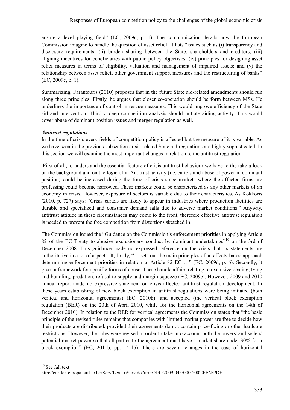ensure a level playing field" (EC, 2009c, p. 1). The communication details how the European Commission imagine to handle the question of asset relief. It lists "issues such as (i) transparency and disclosure requirements; (ii) burden sharing between the State, shareholders and creditors; (iii) aligning incentives for beneficiaries with public policy objectives; (iv) principles for designing asset relief measures in terms of eligibility, valuation and management of impaired assets; and (v) the relationship between asset relief, other government support measures and the restructuring of banks" (EC, 2009c, p. 1).

Summarizing, Farantouris (2010) proposes that in the future State aid-related amendments should run along three principles. Firstly, he argues that closer co-operation should be form between MSs. He underlines the importance of control in rescue measures. This would improve efficiency of the State aid and intervention. Thirdly, deep competition analysis should initiate aiding activity. This would cover abuse of dominant position issues and merger regulation as well.

#### *Antitrust regulations*

In the time of crisis every fields of competition policy is affected but the measure of it is variable. As we have seen in the previous subsection crisis-related State aid regulations are highly sophisticated. In this section we will examine the most important changes in relation to the antitrust regulation.

 First of all, to understand the essential feature of crisis antitrust behaviour we have to the take a look on the background and on the logic of it. Antitrust activity (i.e. cartels and abuse of power in dominant position) could be increased during the time of crisis since markets where the affected firms are professing could become narrowed. These markets could be characterized as any other markets of an economy in crisis. However, exposure of sectors is variable due to their characteristics. As Kokkoris (2010, p. 727) says: "Crisis cartels are likely to appear in industries where production facilities are durable and specialized and consumer demand falls due to adverse market conditions." Anyway, antitrust attitude in these circumstances may come to the front, therefore effective antitrust regulation is needed to prevent the free competition from distortions sketched in.

The Commission issued the "Guidance on the Commission's enforcement priorities in applying Article 82 of the EC Treaty to abusive exclusionary conduct by dominant undertakings"<sup>10</sup> on the 3rd of December 2008. This guidance made no expressed reference on the crisis, but its statements are authoritative in a lot of aspects. It, firstly, "… sets out the main principles of an effects-based approach determining enforcement priorities in relation to Article 82 EC …" (EC, 2009d, p. 6). Secondly, it gives a framework for specific forms of abuse. These handle affairs relating to exclusive dealing, tying and bundling, predation, refusal to supply and margin squeeze (EC, 2009e). However, 2009 and 2010 annual report made no expressive statement on crisis affected antitrust regulation development. In these years establishing of new block exemption in antitrust regulations were being initiated (both vertical and horizontal agreements) (EC, 2010b), and accepted (the vertical block exemption regulation (BER) on the 20th of April 2010, while for the horizontal agreements on the 14th of December 2010). In relation to the BER for vertical agreements the Commission states that "the basic principle of the revised rules remains that companies with limited market power are free to decide how their products are distributed, provided their agreements do not contain price-fixing or other hardcore restrictions. However, the rules were revised in order to take into account both the buyers' and sellers' potential market power so that all parties to the agreement must have a market share under 30% for a block exemption" (EC, 2011b, pp. 14-15). There are several changes in the case of horizontal

<sup>&</sup>lt;u>.</u>  $10$  See full text:

<http://eur-lex.europa.eu/LexUriServ/LexUriServ.do?uri=OJ:C:2009:045:0007:0020:EN:PDF>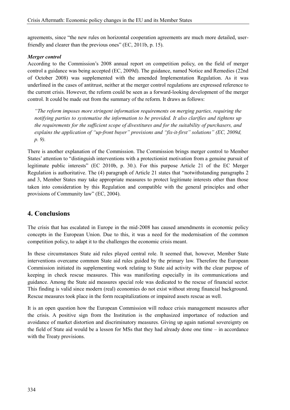agreements, since "the new rules on horizontal cooperation agreements are much more detailed, userfriendly and clearer than the previous ones" (EC, 2011b, p. 15).

#### *Merger control*

According to the Commission's 2008 annual report on competition policy, on the field of merger control a guidance was being accepted (EC, 2009d). The guidance, named Notice and Remedies (22nd of October 2008) was supplemented with the amended Implementation Regulation. As it was underlined in the cases of antitrust, neither at the merger control regulations are expressed reference to the current crisis. However, the reform could be seen as a forward-looking development of the merger control. It could be made out from the summary of the reform. It draws as follows:

*"The reform imposes more stringent information requirements on merging parties, requiring the notifying parties to systematise the information to be provided. It also clarifies and tightens up the requirements for the sufficient scope of divestitures and for the suitability of purchasers, and explains the application of "up-front buyer" provisions and "fix-it-first" solutions" (EC, 2009d, p. 9).*

There is another explanation of the Commission. The Commission brings merger control to Member States' attention to "distinguish interventions with a protectionist motivation from a genuine pursuit of legitimate public interests" (EC 2010b, p. 30.). For this purpose Article 21 of the EC Merger Regulation is authoritative. The (4) paragraph of Article 21 states that "notwithstanding paragraphs 2 and 3, Member States may take appropriate measures to protect legitimate interests other than those taken into consideration by this Regulation and compatible with the general principles and other provisions of Community law" (EC, 2004).

## **4. Conclusions**

The crisis that has escalated in Europe in the mid-2008 has caused amendments in economic policy concepts in the European Union. Due to this, it was a need for the modernisation of the common competition policy, to adapt it to the challenges the economic crisis meant.

In these circumstances State aid rules played central role. It seemed that, however, Member State interventions overcame common State aid rules guided by the primary law. Therefore the European Commission initiated its supplementing work relating to State aid activity with the clear purpose of keeping in check rescue measures. This was manifesting especially in its communications and guidance. Among the State aid measures special role was dedicated to the rescue of financial sector. This finding is valid since modern (real) economies do not exist without strong financial background. Rescue measures took place in the form recapitalizations or impaired assets rescue as well.

It is an open question how the European Commission will reduce crisis management measures after the crisis. A positive sign from the Institution is the emphasized importance of reduction and avoidance of market distortion and discriminatory measures. Giving up again national sovereignty on the field of State aid would be a lesson for MSs that they had already done one time – in accordance with the Treaty provisions.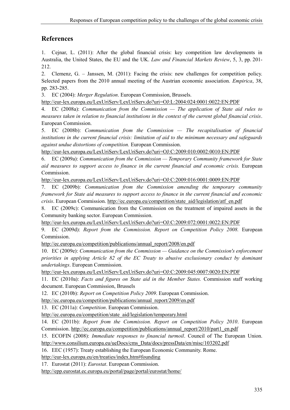## **References**

1. Cejnar, L. (2011): After the global financial crisis: key competition law developments in Australia, the United States, the EU and the UK. *Law and Financial Markets Review*, 5, 3, pp. 201- 212.

2. Clemenz, G. – Janssen, M. (2011): Facing the crisis: new challenges for competition policy. Selected papers from the 2010 annual meeting of the Austrian economic association. *Empirica*, 38, pp. 283-285.

3. EC (2004): *Merger Regulation*. European Commission, Brussels.

http://eur-[lex.europa.eu/LexUriServ/LexUriServ.do?uri=OJ:L:2004:024:0001:0022:EN:PDF](http://eur-lex.europa.eu/LexUriServ/LexUriServ.do?uri=OJ:L:2004:024:0001:0022:EN:PDF)

4. EC (2008a): *Communication from the Commission — The application of State aid rules to measures taken in relation to financial institutions in the context of the current global financial crisis*. European Commission.

5. EC (2008b): *Communication from the Commission — The recapitalisation of financial institutions in the current financial crisis: limitation of aid to the minimum necessary and safeguards against undue distortions of competition.* European Commission.

http://eur-[lex.europa.eu/LexUriServ/LexUriServ.do?uri=OJ:C:2009:010:0002:0010:EN:PDF](http://eur-lex.europa.eu/LexUriServ/LexUriServ.do?uri=OJ:C:2009:010:0002:0010:EN:PDF)

6. EC (2009a): *Communication from the Commission — Temporary Community framework for State aid measures to support access to finance in the current financial and economic crisis.* European Commission.

http://eur-[lex.europa.eu/LexUriServ/LexUriServ.do?uri=OJ:C:2009:016:0001:0009:EN:PDF](http://eur-lex.europa.eu/LexUriServ/LexUriServ.do?uri=OJ:C:2009:016:0001:0009:EN:PDF)

7. EC (2009b): *Communication from the Commission amending the temporary community framework for State aid measures to support access to finance in the current financial and economic crisis*. European Commission. [http://ec.europa.eu/competition/state\\_aid/legislation/atf\\_en.pdf](http://ec.europa.eu/competition/state_aid/legislation/atf_en.pdf)

8. EC (2009c): Communication from the Commission on the treatment of impaired assets in the Community banking sector. European Commission.

http://eur-[lex.europa.eu/LexUriServ/LexUriServ.do?uri=OJ:C:2009:072:0001:0022:EN:PDF](http://eur-lex.europa.eu/LexUriServ/LexUriServ.do?uri=OJ:C:2009:072:0001:0022:EN:PDF)

9. EC (2009d): *Report from the Commission. Report on Competition Policy 2008.* European Commission.

[http://ec.europa.eu/competition/publications/annual\\_report/2008/en.pdf](http://ec.europa.eu/competition/publications/annual_report/2008/en.pdf)

10. EC (2009e): *Communication from the Commission — Guidance on the Commission's enforcement priorities in applying Article 82 of the EC Treaty to abusive exclusionary conduct by dominant undertakings*. European Commission.

http://eur-[lex.europa.eu/LexUriServ/LexUriServ.do?uri=OJ:C:2009:045:0007:0020:EN:PDF](http://eur-lex.europa.eu/LexUriServ/LexUriServ.do?uri=OJ:C:2009:045:0007:0020:EN:PDF)

11. EC (2010a): *Facts and figures on State aid in the Member States.* Commission staff working document. European Commission, Brussels

12. EC (2010b): *Report on Competition Policy 2009*. European Commission.

[http://ec.europa.eu/competition/publications/annual\\_report/2009/en.pdf](http://ec.europa.eu/competition/publications/annual_report/2009/en.pdf)

13. EC (2011a): *Competition*. European Commission.

[http://ec.europa.eu/competition/state\\_aid/legislation/temporary.html](http://ec.europa.eu/competition/state_aid/legislation/temporary.html)

14. EC (2011b): *Report from the Commission. Report on Competition Policy 2010*. European Commission. [http://ec.europa.eu/competition/publications/annual\\_report/2010/part1\\_en.pdf](http://ec.europa.eu/competition/publications/annual_report/2010/part1_en.pdf)

15. ECOFIN (2008): *Immediate responses to financial turmoil*. Council of The European Union. [http://www.consilium.europa.eu/ueDocs/cms\\_Data/docs/pressData/en/misc/103202.pdf](http://www.consilium.europa.eu/ueDocs/cms_Data/docs/pressData/en/misc/103202.pdf)

16. EEC (1957): Treaty establishing the European Economic Community. Rome.

http://eur-[lex.europa.eu/en/treaties/index.htm#founding](http://eur-lex.europa.eu/en/treaties/index.htm#founding)

17. Eurostat (2011): *Eurostat*. European Commission.

<http://epp.eurostat.ec.europa.eu/portal/page/portal/eurostat/home/>